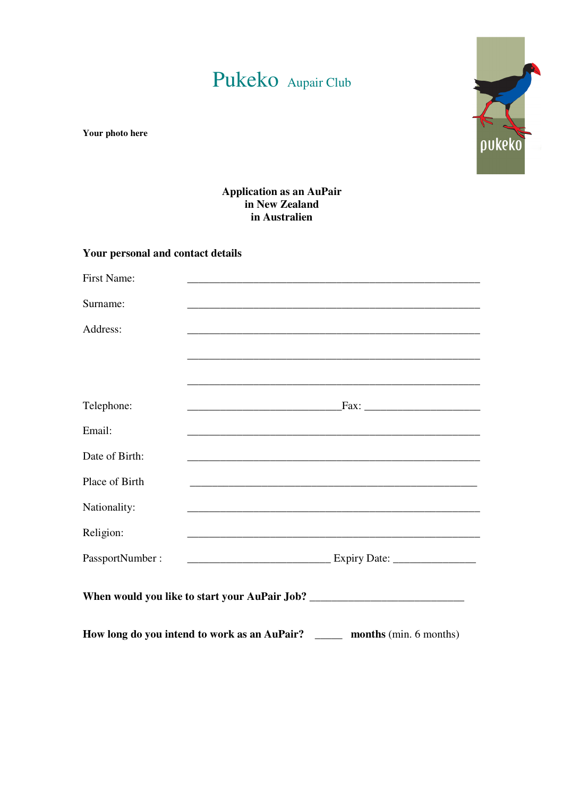# Pukeko Aupair Club



**Your photo here** 

#### **Application as an AuPair in New Zealand in Australien**

#### **Your personal and contact details**

| First Name:                                                                       |                                                                                                                       |  |  |  |
|-----------------------------------------------------------------------------------|-----------------------------------------------------------------------------------------------------------------------|--|--|--|
| Surname:                                                                          | <u> 1989 - Johann Harry Harry Harry Harry Harry Harry Harry Harry Harry Harry Harry Harry Harry Harry Harry Harry</u> |  |  |  |
| Address:                                                                          | <u> 1989 - Andrea Santa Andrea Santa Andrea Santa Andrea Santa Andrea Santa Andrea Santa Andrea Santa Andrea San</u>  |  |  |  |
|                                                                                   |                                                                                                                       |  |  |  |
|                                                                                   |                                                                                                                       |  |  |  |
| Telephone:                                                                        |                                                                                                                       |  |  |  |
| Email:                                                                            | <u> 1989 - Johann Stoff, deutscher Stoff, der Stoff, der Stoff, der Stoff, der Stoff, der Stoff, der Stoff, der S</u> |  |  |  |
| Date of Birth:                                                                    |                                                                                                                       |  |  |  |
| Place of Birth                                                                    |                                                                                                                       |  |  |  |
| Nationality:                                                                      |                                                                                                                       |  |  |  |
| Religion:                                                                         | <u> 1989 - Johann Barn, amerikan bandar bandar bandar bandar bandar bandar bandar bandar bandar bandar bandar ba</u>  |  |  |  |
| PassportNumber:                                                                   |                                                                                                                       |  |  |  |
| When would you like to start your AuPair Job? ___________________________________ |                                                                                                                       |  |  |  |
| How long do you intend to work as an AuPair? ________ months (min. 6 months)      |                                                                                                                       |  |  |  |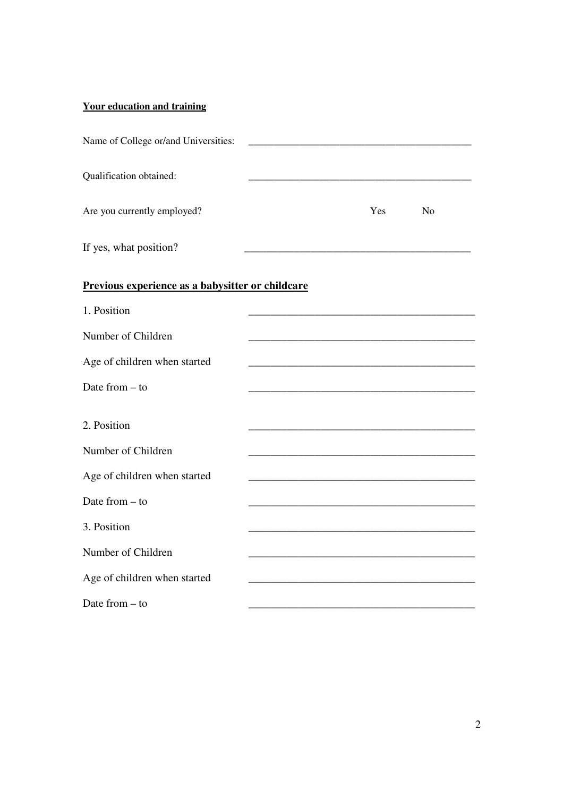## **Your education and training**

| Name of College or/and Universities:             |     |                |
|--------------------------------------------------|-----|----------------|
| Qualification obtained:                          |     |                |
| Are you currently employed?                      | Yes | N <sub>o</sub> |
| If yes, what position?                           |     |                |
| Previous experience as a babysitter or childcare |     |                |
| 1. Position                                      |     |                |
| Number of Children                               |     |                |
| Age of children when started                     |     |                |
| Date from $-$ to                                 |     |                |
| 2. Position                                      |     |                |
| Number of Children                               |     |                |
| Age of children when started                     |     |                |
| Date from $-$ to                                 |     |                |
| 3. Position                                      |     |                |
| Number of Children                               |     |                |
| Age of children when started                     |     |                |
| Date from $-$ to                                 |     |                |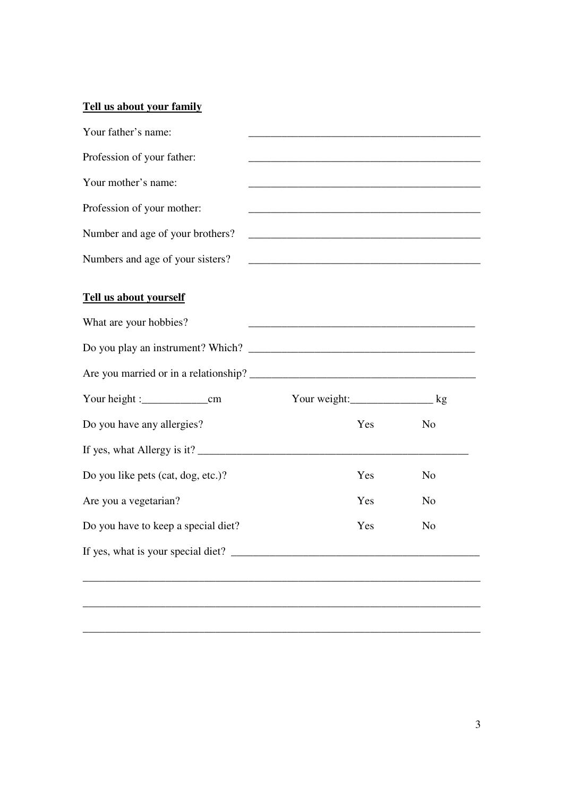## **Tell us about your family**

| Your father's name:                 |                                                                    |                |  |
|-------------------------------------|--------------------------------------------------------------------|----------------|--|
| Profession of your father:          |                                                                    |                |  |
| Your mother's name:                 |                                                                    |                |  |
| Profession of your mother:          |                                                                    |                |  |
| Number and age of your brothers?    |                                                                    |                |  |
| Numbers and age of your sisters?    | <u> 1989 - Johann John Stone, mars et al. (b. 1989)</u>            |                |  |
| Tell us about yourself              |                                                                    |                |  |
| What are your hobbies?              | <u> 1980 - Johann Barbara, margaret eta biztanleria (h. 1980).</u> |                |  |
|                                     |                                                                    |                |  |
|                                     |                                                                    |                |  |
|                                     | Your weight: kg                                                    |                |  |
| Do you have any allergies?          | Yes                                                                | N <sub>o</sub> |  |
|                                     |                                                                    |                |  |
| Do you like pets (cat, dog, etc.)?  | Yes                                                                | N <sub>o</sub> |  |
| Are you a vegetarian?               | Yes                                                                | N <sub>o</sub> |  |
| Do you have to keep a special diet? | Yes                                                                | N <sub>o</sub> |  |
|                                     |                                                                    |                |  |
|                                     |                                                                    |                |  |

\_\_\_\_\_\_\_\_\_\_\_\_\_\_\_\_\_\_\_\_\_\_\_\_\_\_\_\_\_\_\_\_\_\_\_\_\_\_\_\_\_\_\_\_\_\_\_\_\_\_\_\_\_\_\_\_\_\_\_\_\_\_\_\_\_\_\_\_\_\_\_\_

\_\_\_\_\_\_\_\_\_\_\_\_\_\_\_\_\_\_\_\_\_\_\_\_\_\_\_\_\_\_\_\_\_\_\_\_\_\_\_\_\_\_\_\_\_\_\_\_\_\_\_\_\_\_\_\_\_\_\_\_\_\_\_\_\_\_\_\_\_\_\_\_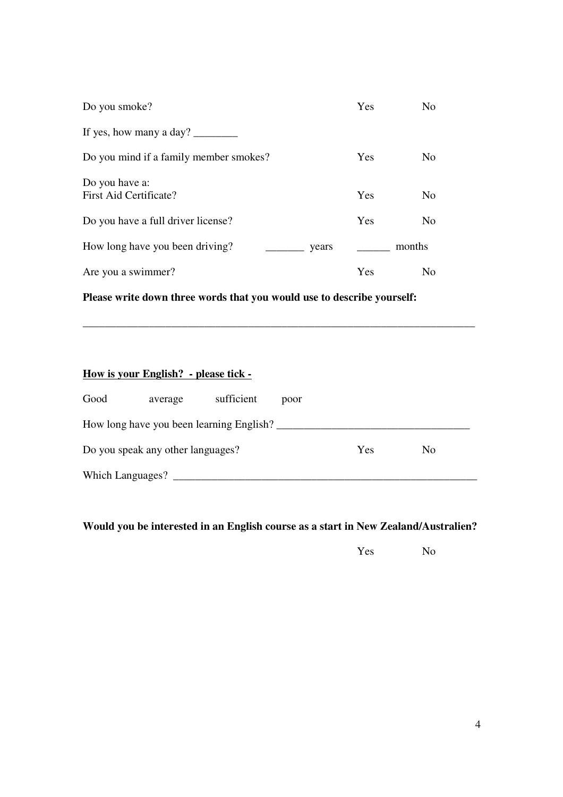| Do you smoke?                            | Yes | N <sub>o</sub> |
|------------------------------------------|-----|----------------|
| If yes, how many a day? $\frac{1}{2}$    |     |                |
| Do you mind if a family member smokes?   | Yes | N <sub>0</sub> |
| Do you have a:<br>First Aid Certificate? | Yes | N <sub>o</sub> |
| Do you have a full driver license?       | Yes | N <sub>o</sub> |
| How long have you been driving?<br>years |     | months         |
| Are you a swimmer?                       | Yes | N <sub>0</sub> |

**Please write down three words that you would use to describe yourself:** 

## **How is your English? - please tick -**

| Good                              | average | sufficient                               | poor |     |     |  |
|-----------------------------------|---------|------------------------------------------|------|-----|-----|--|
|                                   |         | How long have you been learning English? |      |     |     |  |
| Do you speak any other languages? |         |                                          |      | Yes | No. |  |
| Which Languages?                  |         |                                          |      |     |     |  |

\_\_\_\_\_\_\_\_\_\_\_\_\_\_\_\_\_\_\_\_\_\_\_\_\_\_\_\_\_\_\_\_\_\_\_\_\_\_\_\_\_\_\_\_\_\_\_\_\_\_\_\_\_\_\_\_\_\_\_\_\_\_\_\_\_\_\_\_\_\_\_

**Would you be interested in an English course as a start in New Zealand/Australien?** 

Yes No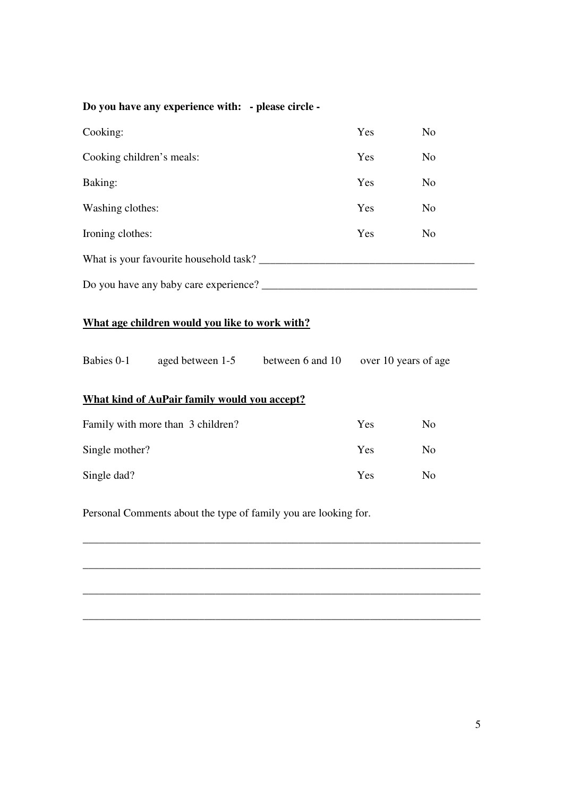| Do you have any experience with: - please circle -              |                                                                   |     |                |                |  |
|-----------------------------------------------------------------|-------------------------------------------------------------------|-----|----------------|----------------|--|
| Cooking:                                                        |                                                                   |     | Yes            | N <sub>o</sub> |  |
| Cooking children's meals:                                       |                                                                   |     | Yes            | N <sub>o</sub> |  |
| Baking:                                                         |                                                                   |     | Yes            | N <sub>o</sub> |  |
| Washing clothes:                                                |                                                                   |     | Yes            | N <sub>o</sub> |  |
| Ironing clothes:                                                |                                                                   |     | Yes            | N <sub>o</sub> |  |
|                                                                 |                                                                   |     |                |                |  |
|                                                                 |                                                                   |     |                |                |  |
| What age children would you like to work with?                  |                                                                   |     |                |                |  |
|                                                                 | Babies 0-1 aged between 1-5 between 6 and 10 over 10 years of age |     |                |                |  |
| What kind of AuPair family would you accept?                    |                                                                   |     |                |                |  |
|                                                                 | Family with more than 3 children?                                 |     | Yes            | N <sub>o</sub> |  |
| Single mother?                                                  |                                                                   | Yes | N <sub>o</sub> |                |  |
| Single dad?                                                     |                                                                   |     | Yes            | N <sub>o</sub> |  |
| Personal Comments about the type of family you are looking for. |                                                                   |     |                |                |  |

\_\_\_\_\_\_\_\_\_\_\_\_\_\_\_\_\_\_\_\_\_\_\_\_\_\_\_\_\_\_\_\_\_\_\_\_\_\_\_\_\_\_\_\_\_\_\_\_\_\_\_\_\_\_\_\_\_\_\_\_\_\_\_\_\_\_\_\_\_\_\_\_

\_\_\_\_\_\_\_\_\_\_\_\_\_\_\_\_\_\_\_\_\_\_\_\_\_\_\_\_\_\_\_\_\_\_\_\_\_\_\_\_\_\_\_\_\_\_\_\_\_\_\_\_\_\_\_\_\_\_\_\_\_\_\_\_\_\_\_\_\_\_\_\_

\_\_\_\_\_\_\_\_\_\_\_\_\_\_\_\_\_\_\_\_\_\_\_\_\_\_\_\_\_\_\_\_\_\_\_\_\_\_\_\_\_\_\_\_\_\_\_\_\_\_\_\_\_\_\_\_\_\_\_\_\_\_\_\_\_\_\_\_\_\_\_\_

\_\_\_\_\_\_\_\_\_\_\_\_\_\_\_\_\_\_\_\_\_\_\_\_\_\_\_\_\_\_\_\_\_\_\_\_\_\_\_\_\_\_\_\_\_\_\_\_\_\_\_\_\_\_\_\_\_\_\_\_\_\_\_\_\_\_\_\_\_\_\_\_

5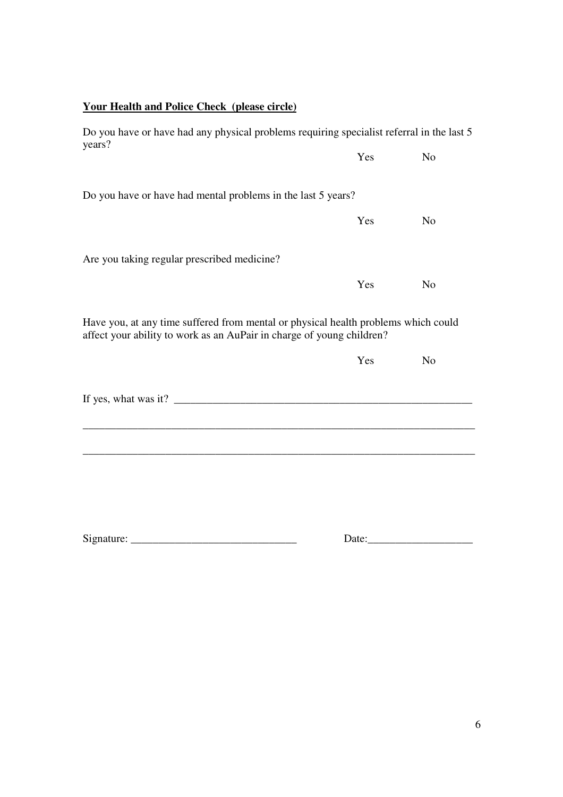| <b>Your Health and Police Check (please circle)</b>                                                                                                         |       |                |
|-------------------------------------------------------------------------------------------------------------------------------------------------------------|-------|----------------|
| Do you have or have had any physical problems requiring specialist referral in the last 5<br>years?                                                         |       |                |
|                                                                                                                                                             | Yes   | N <sub>o</sub> |
| Do you have or have had mental problems in the last 5 years?                                                                                                |       |                |
|                                                                                                                                                             | Yes   | N <sub>o</sub> |
| Are you taking regular prescribed medicine?                                                                                                                 |       |                |
|                                                                                                                                                             | Yes   | N <sub>o</sub> |
| Have you, at any time suffered from mental or physical health problems which could<br>affect your ability to work as an AuPair in charge of young children? |       |                |
|                                                                                                                                                             | Yes   | N <sub>o</sub> |
|                                                                                                                                                             |       |                |
|                                                                                                                                                             |       |                |
|                                                                                                                                                             |       |                |
|                                                                                                                                                             |       |                |
| Signature:                                                                                                                                                  | Date: |                |